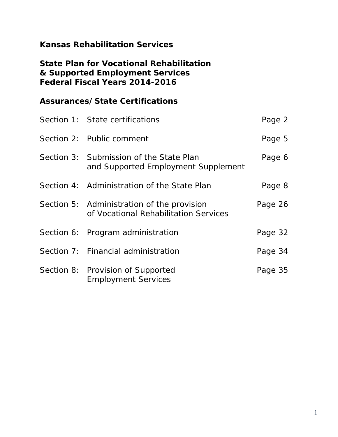# **Kansas Rehabilitation Services**

# **State Plan for Vocational Rehabilitation & Supported Employment Services Federal Fiscal Years 2014-2016**

# **Assurances/State Certifications**

| Section 1: State certifications                                                     | Page 2  |
|-------------------------------------------------------------------------------------|---------|
| Section 2: Public comment                                                           | Page 5  |
| Section 3: Submission of the State Plan<br>and Supported Employment Supplement      | Page 6  |
| Section 4: Administration of the State Plan                                         | Page 8  |
| Section 5: Administration of the provision<br>of Vocational Rehabilitation Services | Page 26 |
| Section 6: Program administration                                                   | Page 32 |
| Section 7: Financial administration                                                 | Page 34 |
| Section 8: Provision of Supported<br><b>Employment Services</b>                     | Page 35 |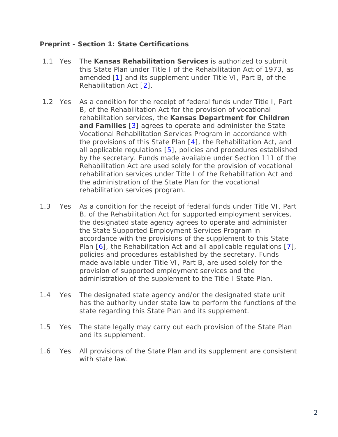#### **Preprint - Section 1: State Certifications**

- <span id="page-1-0"></span>1.1 Yes The **Kansas Rehabilitation Services** is authorized to submit this State Plan under Title I of the Rehabilitation Act of 1973, as amended [\[1\]](#page-3-0) and its supplement under Title VI, Part B, of the Rehabilitation Act [\[2\]](#page-3-1).
- <span id="page-1-4"></span><span id="page-1-3"></span><span id="page-1-2"></span><span id="page-1-1"></span>1.2 Yes As a condition for the receipt of federal funds under Title I, Part B, of the Rehabilitation Act for the provision of vocational rehabilitation services, the **Kansas Department for Children and Families** [\[3\]](#page-3-2) agrees to operate and administer the State Vocational Rehabilitation Services Program in accordance with the provisions of this State Plan [\[4\]](#page-3-3), the Rehabilitation Act, and all applicable regulations [\[5\]](#page-3-4), policies and procedures established by the secretary. Funds made available under Section 111 of the Rehabilitation Act are used solely for the provision of vocational rehabilitation services under Title I of the Rehabilitation Act and the administration of the State Plan for the vocational rehabilitation services program.
- <span id="page-1-6"></span><span id="page-1-5"></span>1.3 Yes As a condition for the receipt of federal funds under Title VI, Part B, of the Rehabilitation Act for supported employment services, the designated state agency agrees to operate and administer the State Supported Employment Services Program in accordance with the provisions of the supplement to this State Plan [\[6\]](#page-3-5), the Rehabilitation Act and all applicable regulations [\[7\]](#page-3-6), policies and procedures established by the secretary. Funds made available under Title VI, Part B, are used solely for the provision of supported employment services and the administration of the supplement to the Title I State Plan.
- 1.4 Yes The designated state agency and/or the designated state unit has the authority under state law to perform the functions of the state regarding this State Plan and its supplement.
- 1.5 Yes The state legally may carry out each provision of the State Plan and its supplement.
- 1.6 Yes All provisions of the State Plan and its supplement are consistent with state law.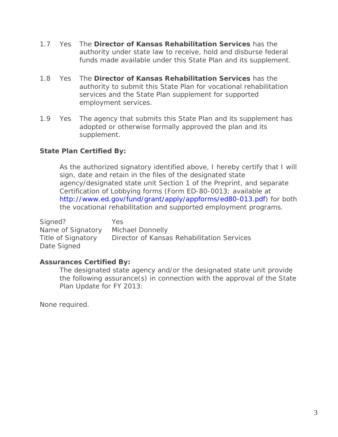- 1.7 Yes The **Director of Kansas Rehabilitation Services** has the authority under state law to receive, hold and disburse federal funds made available under this State Plan and its supplement.
- 1.8 Yes The **Director of Kansas Rehabilitation Services** has the authority to submit this State Plan for vocational rehabilitation services and the State Plan supplement for supported employment services.
- 1.9 Yes The agency that submits this State Plan and its supplement has adopted or otherwise formally approved the plan and its supplement.

## **State Plan Certified By:**

As the authorized signatory identified above, I hereby certify that I will sign, date and retain in the files of the designated state agency/designated state unit Section 1 of the Preprint, and separate Certification of Lobbying forms (Form ED-80-0013; available at [http://www.ed.gov/fund/grant/apply/appforms/ed80-013.pdf\)](http://www.ed.gov/fund/grant/apply/appforms/ed80-013.pdf) for both the vocational rehabilitation and supported employment programs.

Signed? Yes Name of Signatory Michael Donnelly Title of Signatory Director of Kansas Rehabilitation Services Date Signed

#### **Assurances Certified By:**

The designated state agency and/or the designated state unit provide the following assurance(s) in connection with the approval of the State Plan Update for FY 2013:

None required.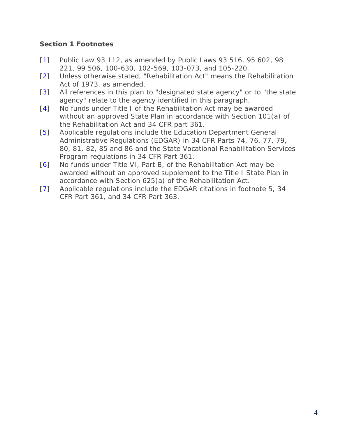# **Section 1 Footnotes**

- <span id="page-3-0"></span>[\[1\]](#page-1-0) Public Law 93 112, as amended by Public Laws 93 516, 95 602, 98 221, 99 506, 100-630, 102-569, 103-073, and 105-220.
- <span id="page-3-1"></span>[\[2\]](#page-1-1) Unless otherwise stated, "Rehabilitation Act" means the Rehabilitation Act of 1973, as amended.
- <span id="page-3-2"></span>[\[3\]](#page-1-2) All references in this plan to "designated state agency" or to "the state agency" relate to the agency identified in this paragraph.
- <span id="page-3-3"></span>[\[4\]](#page-1-3) No funds under Title I of the Rehabilitation Act may be awarded without an approved State Plan in accordance with Section 101(a) of the Rehabilitation Act and 34 CFR part 361.
- <span id="page-3-4"></span>[\[5\]](#page-1-4) Applicable regulations include the Education Department General Administrative Regulations (EDGAR) in 34 CFR Parts 74, 76, 77, 79, 80, 81, 82, 85 and 86 and the State Vocational Rehabilitation Services Program regulations in 34 CFR Part 361.
- <span id="page-3-5"></span>[\[6\]](#page-1-5) No funds under Title VI, Part B, of the Rehabilitation Act may be awarded without an approved supplement to the Title I State Plan in accordance with Section 625(a) of the Rehabilitation Act.
- <span id="page-3-6"></span>[\[7\]](#page-1-6) Applicable regulations include the EDGAR citations in footnote 5, 34 CFR Part 361, and 34 CFR Part 363.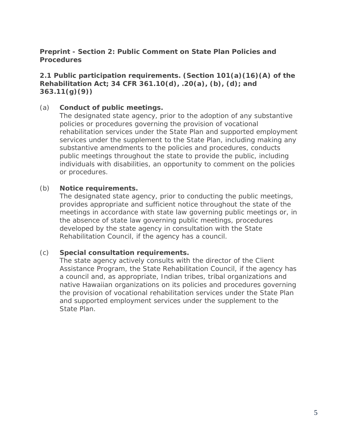#### **Preprint - Section 2: Public Comment on State Plan Policies and Procedures**

## **2.1 Public participation requirements. (Section 101(a)(16)(A) of the Rehabilitation Act; 34 CFR 361.10(d), .20(a), (b), (d); and 363.11(g)(9))**

#### (a) **Conduct of public meetings.**

The designated state agency, prior to the adoption of any substantive policies or procedures governing the provision of vocational rehabilitation services under the State Plan and supported employment services under the supplement to the State Plan, including making any substantive amendments to the policies and procedures, conducts public meetings throughout the state to provide the public, including individuals with disabilities, an opportunity to comment on the policies or procedures.

#### (b) **Notice requirements.**

The designated state agency, prior to conducting the public meetings, provides appropriate and sufficient notice throughout the state of the meetings in accordance with state law governing public meetings or, in the absence of state law governing public meetings, procedures developed by the state agency in consultation with the State Rehabilitation Council, if the agency has a council.

#### (c) **Special consultation requirements.**

The state agency actively consults with the director of the Client Assistance Program, the State Rehabilitation Council, if the agency has a council and, as appropriate, Indian tribes, tribal organizations and native Hawaiian organizations on its policies and procedures governing the provision of vocational rehabilitation services under the State Plan and supported employment services under the supplement to the State Plan.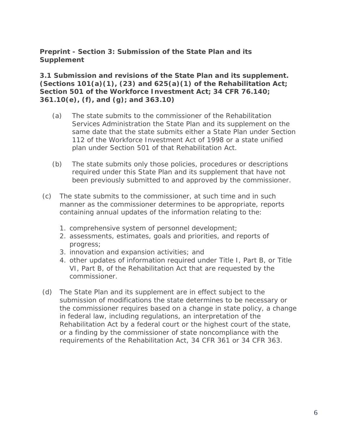**Preprint - Section 3: Submission of the State Plan and its Supplement**

**3.1 Submission and revisions of the State Plan and its supplement. (Sections 101(a)(1), (23) and 625(a)(1) of the Rehabilitation Act; Section 501 of the Workforce Investment Act; 34 CFR 76.140; 361.10(e), (f), and (g); and 363.10)**

- (a) The state submits to the commissioner of the Rehabilitation Services Administration the State Plan and its supplement on the same date that the state submits either a State Plan under Section 112 of the Workforce Investment Act of 1998 or a state unified plan under Section 501 of that Rehabilitation Act.
- (b) The state submits only those policies, procedures or descriptions required under this State Plan and its supplement that have not been previously submitted to and approved by the commissioner.
- (c) The state submits to the commissioner, at such time and in such manner as the commissioner determines to be appropriate, reports containing annual updates of the information relating to the:
	- 1. comprehensive system of personnel development;
	- 2. assessments, estimates, goals and priorities, and reports of progress;
	- 3. innovation and expansion activities; and
	- 4. other updates of information required under Title I, Part B, or Title VI, Part B, of the Rehabilitation Act that are requested by the commissioner.
- (d) The State Plan and its supplement are in effect subject to the submission of modifications the state determines to be necessary or the commissioner requires based on a change in state policy, a change in federal law, including regulations, an interpretation of the Rehabilitation Act by a federal court or the highest court of the state, or a finding by the commissioner of state noncompliance with the requirements of the Rehabilitation Act, 34 CFR 361 or 34 CFR 363.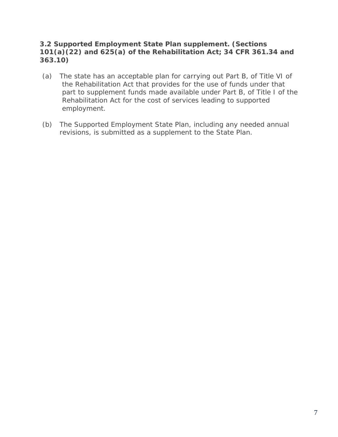## **3.2 Supported Employment State Plan supplement. (Sections 101(a)(22) and 625(a) of the Rehabilitation Act; 34 CFR 361.34 and 363.10)**

- (a) The state has an acceptable plan for carrying out Part B, of Title VI of the Rehabilitation Act that provides for the use of funds under that part to supplement funds made available under Part B, of Title I of the Rehabilitation Act for the cost of services leading to supported employment.
- (b) The Supported Employment State Plan, including any needed annual revisions, is submitted as a supplement to the State Plan.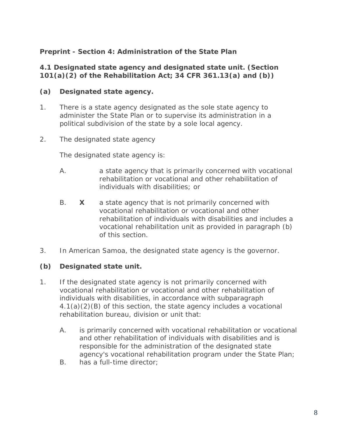# **Preprint - Section 4: Administration of the State Plan**

#### **4.1 Designated state agency and designated state unit. (Section 101(a)(2) of the Rehabilitation Act; 34 CFR 361.13(a) and (b))**

# **(a) Designated state agency.**

- 1. There is a state agency designated as the sole state agency to administer the State Plan or to supervise its administration in a political subdivision of the state by a sole local agency.
- 2. The designated state agency

The designated state agency is:

- A. a state agency that is primarily concerned with vocational rehabilitation or vocational and other rehabilitation of individuals with disabilities; or
- B. **X** a state agency that is not primarily concerned with vocational rehabilitation or vocational and other rehabilitation of individuals with disabilities and includes a vocational rehabilitation unit as provided in paragraph (b) of this section.
- 3. In American Samoa, the designated state agency is the governor.

# **(b) Designated state unit.**

- 1. If the designated state agency is not primarily concerned with vocational rehabilitation or vocational and other rehabilitation of individuals with disabilities, in accordance with subparagraph 4.1(a)(2)(B) of this section, the state agency includes a vocational rehabilitation bureau, division or unit that:
	- A. is primarily concerned with vocational rehabilitation or vocational and other rehabilitation of individuals with disabilities and is responsible for the administration of the designated state agency's vocational rehabilitation program under the State Plan;
	- B. has a full-time director;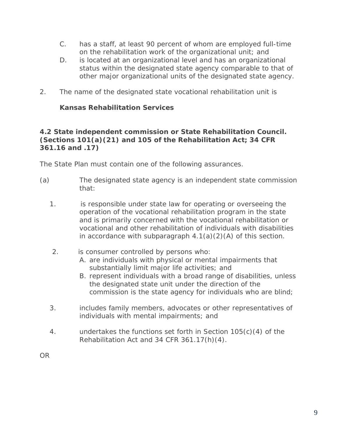- C. has a staff, at least 90 percent of whom are employed full-time on the rehabilitation work of the organizational unit; and
- D. is located at an organizational level and has an organizational status within the designated state agency comparable to that of other major organizational units of the designated state agency.
- 2. The name of the designated state vocational rehabilitation unit is

# **Kansas Rehabilitation Services**

# **4.2 State independent commission or State Rehabilitation Council. (Sections 101(a)(21) and 105 of the Rehabilitation Act; 34 CFR 361.16 and .17)**

The State Plan must contain one of the following assurances.

- (a) The designated state agency is an independent state commission that:
	- 1. is responsible under state law for operating or overseeing the operation of the vocational rehabilitation program in the state and is primarily concerned with the vocational rehabilitation or vocational and other rehabilitation of individuals with disabilities in accordance with subparagraph  $4.1(a)(2)(A)$  of this section.
	- 2. is consumer controlled by persons who:
		- A. are individuals with physical or mental impairments that substantially limit major life activities; and
		- B. represent individuals with a broad range of disabilities, unless the designated state unit under the direction of the commission is the state agency for individuals who are blind;
	- 3. includes family members, advocates or other representatives of individuals with mental impairments; and
	- 4. undertakes the functions set forth in Section 105(c)(4) of the Rehabilitation Act and 34 CFR 361.17(h)(4).

OR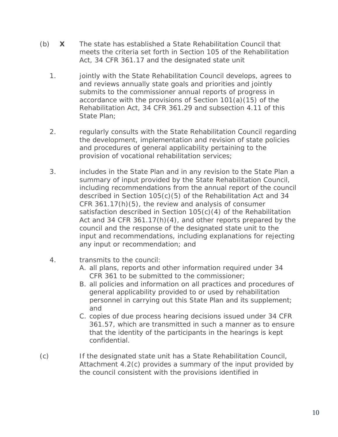- (b) **X** The state has established a State Rehabilitation Council that meets the criteria set forth in Section 105 of the Rehabilitation Act, 34 CFR 361.17 and the designated state unit
	- 1. jointly with the State Rehabilitation Council develops, agrees to and reviews annually state goals and priorities and jointly submits to the commissioner annual reports of progress in accordance with the provisions of Section 101(a)(15) of the Rehabilitation Act, 34 CFR 361.29 and subsection 4.11 of this State Plan;
	- 2. regularly consults with the State Rehabilitation Council regarding the development, implementation and revision of state policies and procedures of general applicability pertaining to the provision of vocational rehabilitation services;
	- 3. includes in the State Plan and in any revision to the State Plan a summary of input provided by the State Rehabilitation Council, including recommendations from the annual report of the council described in Section 105(c)(5) of the Rehabilitation Act and 34 CFR 361.17(h)(5), the review and analysis of consumer satisfaction described in Section 105(c)(4) of the Rehabilitation Act and 34 CFR 361.17(h)(4), and other reports prepared by the council and the response of the designated state unit to the input and recommendations, including explanations for rejecting any input or recommendation; and
	- 4. transmits to the council:
		- A. all plans, reports and other information required under 34 CFR 361 to be submitted to the commissioner;
		- B. all policies and information on all practices and procedures of general applicability provided to or used by rehabilitation personnel in carrying out this State Plan and its supplement; and
		- C. copies of due process hearing decisions issued under 34 CFR 361.57, which are transmitted in such a manner as to ensure that the identity of the participants in the hearings is kept confidential.
- (c) If the designated state unit has a State Rehabilitation Council, Attachment 4.2(c) provides a summary of the input provided by the council consistent with the provisions identified in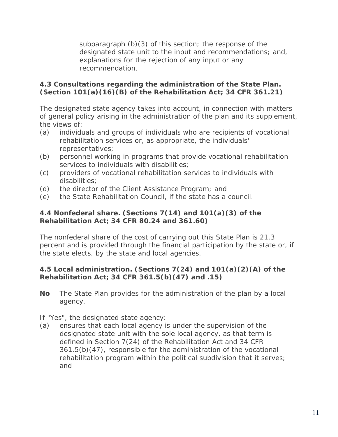subparagraph (b)(3) of this section; the response of the designated state unit to the input and recommendations; and, explanations for the rejection of any input or any recommendation.

# **4.3 Consultations regarding the administration of the State Plan. (Section 101(a)(16)(B) of the Rehabilitation Act; 34 CFR 361.21)**

The designated state agency takes into account, in connection with matters of general policy arising in the administration of the plan and its supplement, the views of:

- (a) individuals and groups of individuals who are recipients of vocational rehabilitation services or, as appropriate, the individuals' representatives;
- (b) personnel working in programs that provide vocational rehabilitation services to individuals with disabilities;
- (c) providers of vocational rehabilitation services to individuals with disabilities;
- (d) the director of the Client Assistance Program; and
- (e) the State Rehabilitation Council, if the state has a council.

# **4.4 Nonfederal share. (Sections 7(14) and 101(a)(3) of the Rehabilitation Act; 34 CFR 80.24 and 361.60)**

The nonfederal share of the cost of carrying out this State Plan is 21.3 percent and is provided through the financial participation by the state or, if the state elects, by the state and local agencies.

# **4.5 Local administration. (Sections 7(24) and 101(a)(2)(A) of the Rehabilitation Act; 34 CFR 361.5(b)(47) and .15)**

**No** The State Plan provides for the administration of the plan by a local agency.

If "Yes", the designated state agency:

(a) ensures that each local agency is under the supervision of the designated state unit with the sole local agency, as that term is defined in Section 7(24) of the Rehabilitation Act and 34 CFR 361.5(b)(47), responsible for the administration of the vocational rehabilitation program within the political subdivision that it serves; and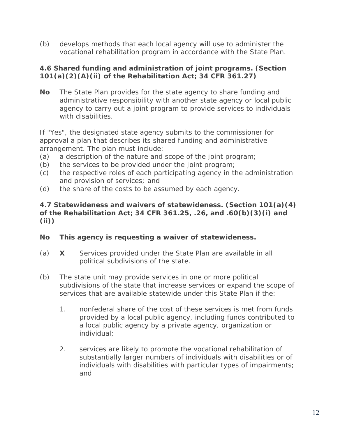(b) develops methods that each local agency will use to administer the vocational rehabilitation program in accordance with the State Plan.

# **4.6 Shared funding and administration of joint programs. (Section 101(a)(2)(A)(ii) of the Rehabilitation Act; 34 CFR 361.27)**

**No** The State Plan provides for the state agency to share funding and administrative responsibility with another state agency or local public agency to carry out a joint program to provide services to individuals with disabilities.

If "Yes", the designated state agency submits to the commissioner for approval a plan that describes its shared funding and administrative arrangement. The plan must include:

- (a) a description of the nature and scope of the joint program;
- (b) the services to be provided under the joint program;
- (c) the respective roles of each participating agency in the administration and provision of services; and
- (d) the share of the costs to be assumed by each agency.

# **4.7 Statewideness and waivers of statewideness. (Section 101(a)(4) of the Rehabilitation Act; 34 CFR 361.25, .26, and .60(b)(3)(i) and (ii))**

#### **No This agency is requesting a waiver of statewideness.**

- (a) **X** Services provided under the State Plan are available in all political subdivisions of the state.
- (b) The state unit may provide services in one or more political subdivisions of the state that increase services or expand the scope of services that are available statewide under this State Plan if the:
	- 1. nonfederal share of the cost of these services is met from funds provided by a local public agency, including funds contributed to a local public agency by a private agency, organization or individual;
	- 2. services are likely to promote the vocational rehabilitation of substantially larger numbers of individuals with disabilities or of individuals with disabilities with particular types of impairments; and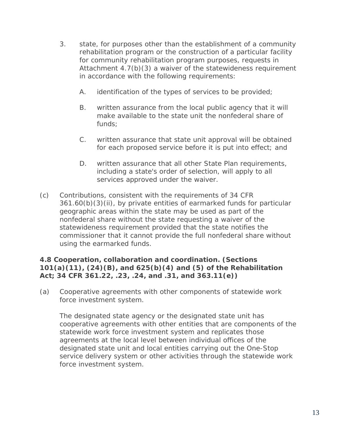- 3. state, for purposes other than the establishment of a community rehabilitation program or the construction of a particular facility for community rehabilitation program purposes, requests in Attachment 4.7(b)(3) a waiver of the statewideness requirement in accordance with the following requirements:
	- A. identification of the types of services to be provided;
	- B. written assurance from the local public agency that it will make available to the state unit the nonfederal share of funds;
	- C. written assurance that state unit approval will be obtained for each proposed service before it is put into effect; and
	- D. written assurance that all other State Plan requirements, including a state's order of selection, will apply to all services approved under the waiver.
- (c) Contributions, consistent with the requirements of 34 CFR 361.60(b)(3)(ii), by private entities of earmarked funds for particular geographic areas within the state may be used as part of the nonfederal share without the state requesting a waiver of the statewideness requirement provided that the state notifies the commissioner that it cannot provide the full nonfederal share without using the earmarked funds.

# **4.8 Cooperation, collaboration and coordination. (Sections 101(a)(11), (24)(B), and 625(b)(4) and (5) of the Rehabilitation Act; 34 CFR 361.22, .23, .24, and .31, and 363.11(e))**

(a) Cooperative agreements with other components of statewide work force investment system.

The designated state agency or the designated state unit has cooperative agreements with other entities that are components of the statewide work force investment system and replicates those agreements at the local level between individual offices of the designated state unit and local entities carrying out the One-Stop service delivery system or other activities through the statewide work force investment system.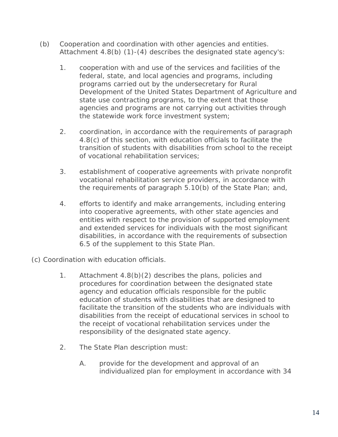- (b) Cooperation and coordination with other agencies and entities. Attachment 4.8(b) (1)-(4) describes the designated state agency's:
	- 1. cooperation with and use of the services and facilities of the federal, state, and local agencies and programs, including programs carried out by the undersecretary for Rural Development of the United States Department of Agriculture and state use contracting programs, to the extent that those agencies and programs are not carrying out activities through the statewide work force investment system;
	- 2. coordination, in accordance with the requirements of paragraph 4.8(c) of this section, with education officials to facilitate the transition of students with disabilities from school to the receipt of vocational rehabilitation services;
	- 3. establishment of cooperative agreements with private nonprofit vocational rehabilitation service providers, in accordance with the requirements of paragraph 5.10(b) of the State Plan; and,
	- 4. efforts to identify and make arrangements, including entering into cooperative agreements, with other state agencies and entities with respect to the provision of supported employment and extended services for individuals with the most significant disabilities, in accordance with the requirements of subsection 6.5 of the supplement to this State Plan.
- (c) Coordination with education officials.
	- 1. Attachment 4.8(b)(2) describes the plans, policies and procedures for coordination between the designated state agency and education officials responsible for the public education of students with disabilities that are designed to facilitate the transition of the students who are individuals with disabilities from the receipt of educational services in school to the receipt of vocational rehabilitation services under the responsibility of the designated state agency.
	- 2. The State Plan description must:
		- A. provide for the development and approval of an individualized plan for employment in accordance with 34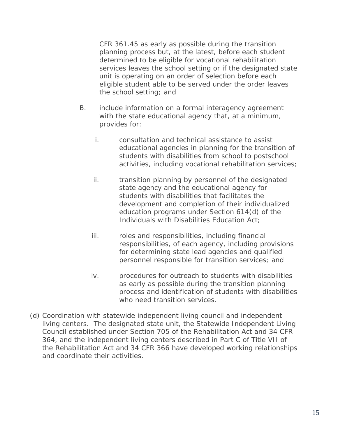CFR 361.45 as early as possible during the transition planning process but, at the latest, before each student determined to be eligible for vocational rehabilitation services leaves the school setting or if the designated state unit is operating on an order of selection before each eligible student able to be served under the order leaves the school setting; and

- B. include information on a formal interagency agreement with the state educational agency that, at a minimum, provides for:
	- i. consultation and technical assistance to assist educational agencies in planning for the transition of students with disabilities from school to postschool activities, including vocational rehabilitation services;
	- ii. transition planning by personnel of the designated state agency and the educational agency for students with disabilities that facilitates the development and completion of their individualized education programs under Section 614(d) of the Individuals with Disabilities Education Act;
	- iii. roles and responsibilities, including financial responsibilities, of each agency, including provisions for determining state lead agencies and qualified personnel responsible for transition services; and
	- iv. procedures for outreach to students with disabilities as early as possible during the transition planning process and identification of students with disabilities who need transition services.
- (d) Coordination with statewide independent living council and independent living centers. The designated state unit, the Statewide Independent Living Council established under Section 705 of the Rehabilitation Act and 34 CFR 364, and the independent living centers described in Part C of Title VII of the Rehabilitation Act and 34 CFR 366 have developed working relationships and coordinate their activities.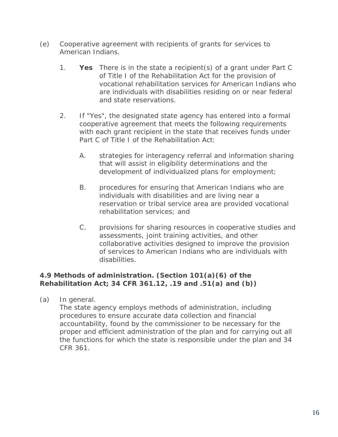- (e) Cooperative agreement with recipients of grants for services to American Indians.
	- 1. **Yes** There is in the state a recipient(s) of a grant under Part C of Title I of the Rehabilitation Act for the provision of vocational rehabilitation services for American Indians who are individuals with disabilities residing on or near federal and state reservations.
	- 2. If "Yes", the designated state agency has entered into a formal cooperative agreement that meets the following requirements with each grant recipient in the state that receives funds under Part C of Title I of the Rehabilitation Act:
		- A. strategies for interagency referral and information sharing that will assist in eligibility determinations and the development of individualized plans for employment;
		- B. procedures for ensuring that American Indians who are individuals with disabilities and are living near a reservation or tribal service area are provided vocational rehabilitation services; and
		- C. provisions for sharing resources in cooperative studies and assessments, joint training activities, and other collaborative activities designed to improve the provision of services to American Indians who are individuals with disabilities.

# **4.9 Methods of administration. (Section 101(a)(6) of the Rehabilitation Act; 34 CFR 361.12, .19 and .51(a) and (b))**

(a) In general.

The state agency employs methods of administration, including procedures to ensure accurate data collection and financial accountability, found by the commissioner to be necessary for the proper and efficient administration of the plan and for carrying out all the functions for which the state is responsible under the plan and 34 CFR 361.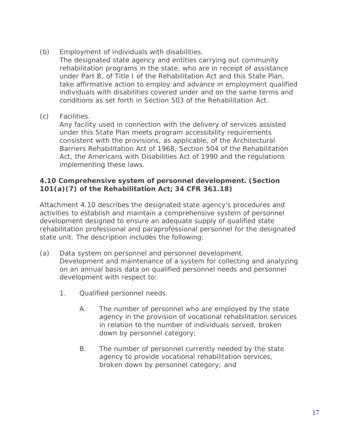(b) Employment of individuals with disabilities.

The designated state agency and entities carrying out community rehabilitation programs in the state, who are in receipt of assistance under Part B, of Title I of the Rehabilitation Act and this State Plan, take affirmative action to employ and advance in employment qualified individuals with disabilities covered under and on the same terms and conditions as set forth in Section 503 of the Rehabilitation Act.

(c) Facilities.

Any facility used in connection with the delivery of services assisted under this State Plan meets program accessibility requirements consistent with the provisions, as applicable, of the Architectural Barriers Rehabilitation Act of 1968, Section 504 of the Rehabilitation Act, the Americans with Disabilities Act of 1990 and the regulations implementing these laws.

## **4.10 Comprehensive system of personnel development. (Section 101(a)(7) of the Rehabilitation Act; 34 CFR 361.18)**

Attachment 4.10 describes the designated state agency's procedures and activities to establish and maintain a comprehensive system of personnel development designed to ensure an adequate supply of qualified state rehabilitation professional and paraprofessional personnel for the designated state unit. The description includes the following:

- (a) Data system on personnel and personnel development. Development and maintenance of a system for collecting and analyzing on an annual basis data on qualified personnel needs and personnel development with respect to:
	- 1. Qualified personnel needs.
		- A. The number of personnel who are employed by the state agency in the provision of vocational rehabilitation services in relation to the number of individuals served, broken down by personnel category;
		- B. The number of personnel currently needed by the state agency to provide vocational rehabilitation services, broken down by personnel category; and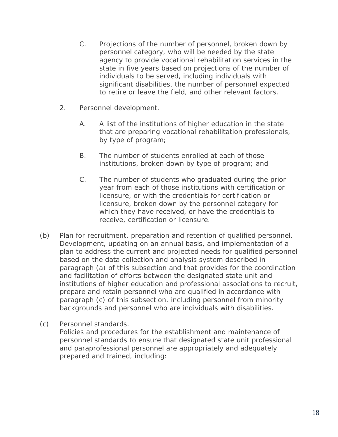- C. Projections of the number of personnel, broken down by personnel category, who will be needed by the state agency to provide vocational rehabilitation services in the state in five years based on projections of the number of individuals to be served, including individuals with significant disabilities, the number of personnel expected to retire or leave the field, and other relevant factors.
- 2. Personnel development.
	- A. A list of the institutions of higher education in the state that are preparing vocational rehabilitation professionals, by type of program;
	- B. The number of students enrolled at each of those institutions, broken down by type of program; and
	- C. The number of students who graduated during the prior year from each of those institutions with certification or licensure, or with the credentials for certification or licensure, broken down by the personnel category for which they have received, or have the credentials to receive, certification or licensure.
- (b) Plan for recruitment, preparation and retention of qualified personnel. Development, updating on an annual basis, and implementation of a plan to address the current and projected needs for qualified personnel based on the data collection and analysis system described in paragraph (a) of this subsection and that provides for the coordination and facilitation of efforts between the designated state unit and institutions of higher education and professional associations to recruit, prepare and retain personnel who are qualified in accordance with paragraph (c) of this subsection, including personnel from minority backgrounds and personnel who are individuals with disabilities.
- (c) Personnel standards. Policies and procedures for the establishment and maintenance of personnel standards to ensure that designated state unit professional and paraprofessional personnel are appropriately and adequately prepared and trained, including: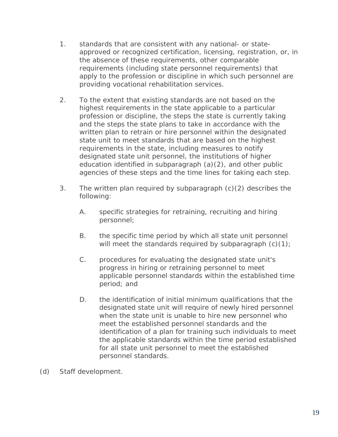- 1. standards that are consistent with any national- or stateapproved or recognized certification, licensing, registration, or, in the absence of these requirements, other comparable requirements (including state personnel requirements) that apply to the profession or discipline in which such personnel are providing vocational rehabilitation services.
- 2. To the extent that existing standards are not based on the highest requirements in the state applicable to a particular profession or discipline, the steps the state is currently taking and the steps the state plans to take in accordance with the written plan to retrain or hire personnel within the designated state unit to meet standards that are based on the highest requirements in the state, including measures to notify designated state unit personnel, the institutions of higher education identified in subparagraph (a)(2), and other public agencies of these steps and the time lines for taking each step.
- 3. The written plan required by subparagraph (c)(2) describes the following:
	- A. specific strategies for retraining, recruiting and hiring personnel;
	- B. the specific time period by which all state unit personnel will meet the standards required by subparagraph  $(c)(1)$ ;
	- C. procedures for evaluating the designated state unit's progress in hiring or retraining personnel to meet applicable personnel standards within the established time period; and
	- D. the identification of initial minimum qualifications that the designated state unit will require of newly hired personnel when the state unit is unable to hire new personnel who meet the established personnel standards and the identification of a plan for training such individuals to meet the applicable standards within the time period established for all state unit personnel to meet the established personnel standards.

(d) Staff development.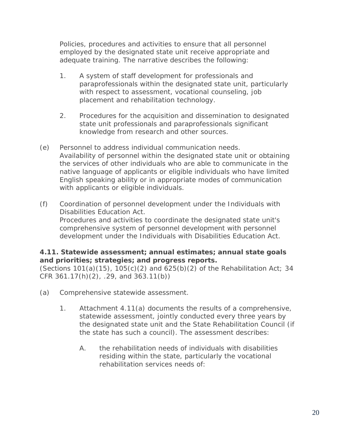Policies, procedures and activities to ensure that all personnel employed by the designated state unit receive appropriate and adequate training. The narrative describes the following:

- 1. A system of staff development for professionals and paraprofessionals within the designated state unit, particularly with respect to assessment, vocational counseling, job placement and rehabilitation technology.
- 2. Procedures for the acquisition and dissemination to designated state unit professionals and paraprofessionals significant knowledge from research and other sources.
- (e) Personnel to address individual communication needs. Availability of personnel within the designated state unit or obtaining the services of other individuals who are able to communicate in the native language of applicants or eligible individuals who have limited English speaking ability or in appropriate modes of communication with applicants or eligible individuals.
- (f) Coordination of personnel development under the Individuals with Disabilities Education Act. Procedures and activities to coordinate the designated state unit's comprehensive system of personnel development with personnel development under the Individuals with Disabilities Education Act.

## **4.11. Statewide assessment; annual estimates; annual state goals and priorities; strategies; and progress reports.**

(Sections  $101(a)(15)$ ,  $105(c)(2)$  and  $625(b)(2)$  of the Rehabilitation Act; 34 CFR 361.17(h)(2), .29, and 363.11(b))

- (a) Comprehensive statewide assessment.
	- 1. Attachment 4.11(a) documents the results of a comprehensive, statewide assessment, jointly conducted every three years by the designated state unit and the State Rehabilitation Council (if the state has such a council). The assessment describes:
		- A. the rehabilitation needs of individuals with disabilities residing within the state, particularly the vocational rehabilitation services needs of: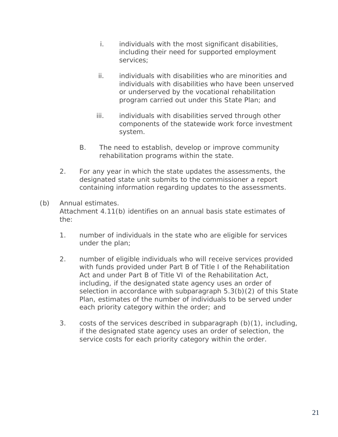- i. individuals with the most significant disabilities, including their need for supported employment services;
- ii. individuals with disabilities who are minorities and individuals with disabilities who have been unserved or underserved by the vocational rehabilitation program carried out under this State Plan; and
- iii. individuals with disabilities served through other components of the statewide work force investment system.
- B. The need to establish, develop or improve community rehabilitation programs within the state.
- 2. For any year in which the state updates the assessments, the designated state unit submits to the commissioner a report containing information regarding updates to the assessments.
- (b) Annual estimates. Attachment 4.11(b) identifies on an annual basis state estimates of the:
	- 1. number of individuals in the state who are eligible for services under the plan;
	- 2. number of eligible individuals who will receive services provided with funds provided under Part B of Title I of the Rehabilitation Act and under Part B of Title VI of the Rehabilitation Act, including, if the designated state agency uses an order of selection in accordance with subparagraph 5.3(b)(2) of this State Plan, estimates of the number of individuals to be served under each priority category within the order; and
	- 3. costs of the services described in subparagraph (b)(1), including, if the designated state agency uses an order of selection, the service costs for each priority category within the order.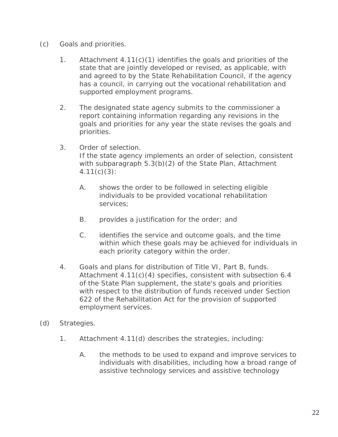- (c) Goals and priorities.
	- 1. Attachment 4.11(c)(1) identifies the goals and priorities of the state that are jointly developed or revised, as applicable, with and agreed to by the State Rehabilitation Council, if the agency has a council, in carrying out the vocational rehabilitation and supported employment programs.
	- 2. The designated state agency submits to the commissioner a report containing information regarding any revisions in the goals and priorities for any year the state revises the goals and priorities.
	- 3. Order of selection.

If the state agency implements an order of selection, consistent with subparagraph 5.3(b)(2) of the State Plan, Attachment  $4.11(c)(3)$ :

- A. shows the order to be followed in selecting eligible individuals to be provided vocational rehabilitation services;
- B. provides a justification for the order; and
- C. identifies the service and outcome goals, and the time within which these goals may be achieved for individuals in each priority category within the order.
- 4. Goals and plans for distribution of Title VI, Part B, funds. Attachment 4.11(c)(4) specifies, consistent with subsection 6.4 of the State Plan supplement, the state's goals and priorities with respect to the distribution of funds received under Section 622 of the Rehabilitation Act for the provision of supported employment services.
- (d) Strategies.
	- 1. Attachment 4.11(d) describes the strategies, including:
		- A. the methods to be used to expand and improve services to individuals with disabilities, including how a broad range of assistive technology services and assistive technology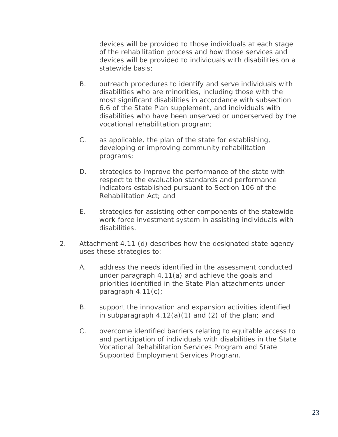devices will be provided to those individuals at each stage of the rehabilitation process and how those services and devices will be provided to individuals with disabilities on a statewide basis;

- B. outreach procedures to identify and serve individuals with disabilities who are minorities, including those with the most significant disabilities in accordance with subsection 6.6 of the State Plan supplement, and individuals with disabilities who have been unserved or underserved by the vocational rehabilitation program;
- C. as applicable, the plan of the state for establishing, developing or improving community rehabilitation programs;
- D. strategies to improve the performance of the state with respect to the evaluation standards and performance indicators established pursuant to Section 106 of the Rehabilitation Act; and
- E. strategies for assisting other components of the statewide work force investment system in assisting individuals with disabilities.
- 2. Attachment 4.11 (d) describes how the designated state agency uses these strategies to:
	- A. address the needs identified in the assessment conducted under paragraph 4.11(a) and achieve the goals and priorities identified in the State Plan attachments under paragraph 4.11(c);
	- B. support the innovation and expansion activities identified in subparagraph  $4.12(a)(1)$  and  $(2)$  of the plan; and
	- C. overcome identified barriers relating to equitable access to and participation of individuals with disabilities in the State Vocational Rehabilitation Services Program and State Supported Employment Services Program.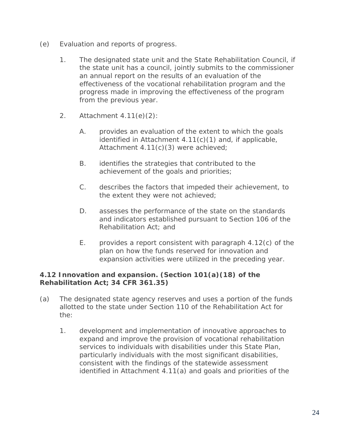- (e) Evaluation and reports of progress.
	- 1. The designated state unit and the State Rehabilitation Council, if the state unit has a council, jointly submits to the commissioner an annual report on the results of an evaluation of the effectiveness of the vocational rehabilitation program and the progress made in improving the effectiveness of the program from the previous year.
	- 2. Attachment 4.11(e)(2):
		- A. provides an evaluation of the extent to which the goals identified in Attachment 4.11(c)(1) and, if applicable, Attachment 4.11(c)(3) were achieved;
		- B. identifies the strategies that contributed to the achievement of the goals and priorities;
		- C. describes the factors that impeded their achievement, to the extent they were not achieved;
		- D. assesses the performance of the state on the standards and indicators established pursuant to Section 106 of the Rehabilitation Act; and
		- E. provides a report consistent with paragraph 4.12(c) of the plan on how the funds reserved for innovation and expansion activities were utilized in the preceding year.

## **4.12 Innovation and expansion. (Section 101(a)(18) of the Rehabilitation Act; 34 CFR 361.35)**

- (a) The designated state agency reserves and uses a portion of the funds allotted to the state under Section 110 of the Rehabilitation Act for the:
	- 1. development and implementation of innovative approaches to expand and improve the provision of vocational rehabilitation services to individuals with disabilities under this State Plan, particularly individuals with the most significant disabilities, consistent with the findings of the statewide assessment identified in Attachment 4.11(a) and goals and priorities of the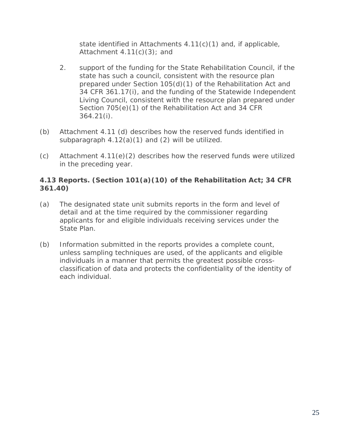state identified in Attachments 4.11(c)(1) and, if applicable, Attachment  $4.11(c)(3)$ ; and

- 2. support of the funding for the State Rehabilitation Council, if the state has such a council, consistent with the resource plan prepared under Section 105(d)(1) of the Rehabilitation Act and 34 CFR 361.17(i), and the funding of the Statewide Independent Living Council, consistent with the resource plan prepared under Section 705(e)(1) of the Rehabilitation Act and 34 CFR 364.21(i).
- (b) Attachment 4.11 (d) describes how the reserved funds identified in subparagraph  $4.12(a)(1)$  and  $(2)$  will be utilized.
- $(c)$  Attachment 4.11 $(e)(2)$  describes how the reserved funds were utilized in the preceding year.

# **4.13 Reports. (Section 101(a)(10) of the Rehabilitation Act; 34 CFR 361.40)**

- (a) The designated state unit submits reports in the form and level of detail and at the time required by the commissioner regarding applicants for and eligible individuals receiving services under the State Plan.
- (b) Information submitted in the reports provides a complete count, unless sampling techniques are used, of the applicants and eligible individuals in a manner that permits the greatest possible crossclassification of data and protects the confidentiality of the identity of each individual.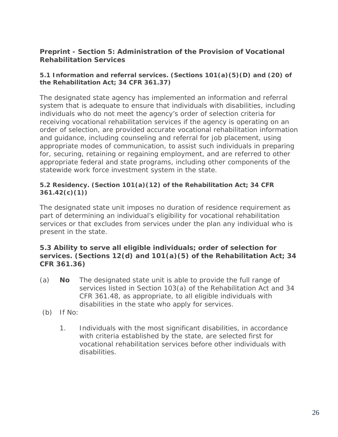## **Preprint - Section 5: Administration of the Provision of Vocational Rehabilitation Services**

#### **5.1 Information and referral services. (Sections 101(a)(5)(D) and (20) of the Rehabilitation Act; 34 CFR 361.37)**

The designated state agency has implemented an information and referral system that is adequate to ensure that individuals with disabilities, including individuals who do not meet the agency's order of selection criteria for receiving vocational rehabilitation services if the agency is operating on an order of selection, are provided accurate vocational rehabilitation information and guidance, including counseling and referral for job placement, using appropriate modes of communication, to assist such individuals in preparing for, securing, retaining or regaining employment, and are referred to other appropriate federal and state programs, including other components of the statewide work force investment system in the state.

#### **5.2 Residency. (Section 101(a)(12) of the Rehabilitation Act; 34 CFR 361.42(c)(1))**

The designated state unit imposes no duration of residence requirement as part of determining an individual's eligibility for vocational rehabilitation services or that excludes from services under the plan any individual who is present in the state.

#### **5.3 Ability to serve all eligible individuals; order of selection for services. (Sections 12(d) and 101(a)(5) of the Rehabilitation Act; 34 CFR 361.36)**

- (a) **No** The designated state unit is able to provide the full range of services listed in Section 103(a) of the Rehabilitation Act and 34 CFR 361.48, as appropriate, to all eligible individuals with disabilities in the state who apply for services.
- (b) If No:
	- 1. Individuals with the most significant disabilities, in accordance with criteria established by the state, are selected first for vocational rehabilitation services before other individuals with disabilities.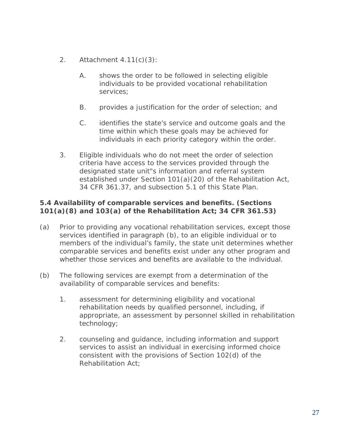- 2. Attachment 4.11(c)(3):
	- A. shows the order to be followed in selecting eligible individuals to be provided vocational rehabilitation services;
	- B. provides a justification for the order of selection; and
	- C. identifies the state's service and outcome goals and the time within which these goals may be achieved for individuals in each priority category within the order.
- 3. Eligible individuals who do not meet the order of selection criteria have access to the services provided through the designated state unit"s information and referral system established under Section 101(a)(20) of the Rehabilitation Act, 34 CFR 361.37, and subsection 5.1 of this State Plan.

## **5.4 Availability of comparable services and benefits. (Sections 101(a)(8) and 103(a) of the Rehabilitation Act; 34 CFR 361.53)**

- (a) Prior to providing any vocational rehabilitation services, except those services identified in paragraph (b), to an eligible individual or to members of the individual's family, the state unit determines whether comparable services and benefits exist under any other program and whether those services and benefits are available to the individual.
- (b) The following services are exempt from a determination of the availability of comparable services and benefits:
	- 1. assessment for determining eligibility and vocational rehabilitation needs by qualified personnel, including, if appropriate, an assessment by personnel skilled in rehabilitation technology;
	- 2. counseling and guidance, including information and support services to assist an individual in exercising informed choice consistent with the provisions of Section 102(d) of the Rehabilitation Act;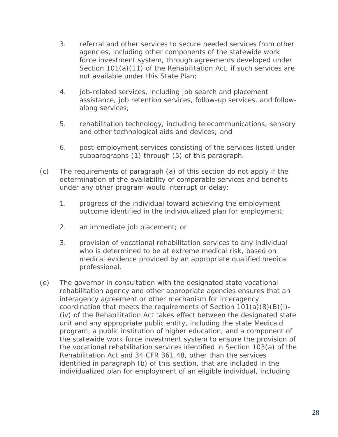- 3. referral and other services to secure needed services from other agencies, including other components of the statewide work force investment system, through agreements developed under Section 101(a)(11) of the Rehabilitation Act, if such services are not available under this State Plan;
- 4. job-related services, including job search and placement assistance, job retention services, follow-up services, and followalong services;
- 5. rehabilitation technology, including telecommunications, sensory and other technological aids and devices; and
- 6. post-employment services consisting of the services listed under subparagraphs (1) through (5) of this paragraph.
- (c) The requirements of paragraph (a) of this section do not apply if the determination of the availability of comparable services and benefits under any other program would interrupt or delay:
	- 1. progress of the individual toward achieving the employment outcome identified in the individualized plan for employment;
	- 2. an immediate job placement; or
	- 3. provision of vocational rehabilitation services to any individual who is determined to be at extreme medical risk, based on medical evidence provided by an appropriate qualified medical professional.
- (e) The governor in consultation with the designated state vocational rehabilitation agency and other appropriate agencies ensures that an interagency agreement or other mechanism for interagency coordination that meets the requirements of Section  $101(a)(8)(B)(i)$ -(iv) of the Rehabilitation Act takes effect between the designated state unit and any appropriate public entity, including the state Medicaid program, a public institution of higher education, and a component of the statewide work force investment system to ensure the provision of the vocational rehabilitation services identified in Section 103(a) of the Rehabilitation Act and 34 CFR 361.48, other than the services identified in paragraph (b) of this section, that are included in the individualized plan for employment of an eligible individual, including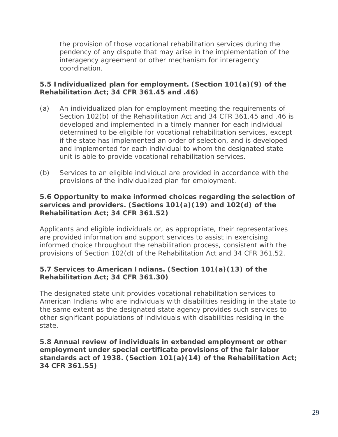the provision of those vocational rehabilitation services during the pendency of any dispute that may arise in the implementation of the interagency agreement or other mechanism for interagency coordination.

# **5.5 Individualized plan for employment. (Section 101(a)(9) of the Rehabilitation Act; 34 CFR 361.45 and .46)**

- (a) An individualized plan for employment meeting the requirements of Section 102(b) of the Rehabilitation Act and 34 CFR 361.45 and .46 is developed and implemented in a timely manner for each individual determined to be eligible for vocational rehabilitation services, except if the state has implemented an order of selection, and is developed and implemented for each individual to whom the designated state unit is able to provide vocational rehabilitation services.
- (b) Services to an eligible individual are provided in accordance with the provisions of the individualized plan for employment.

#### **5.6 Opportunity to make informed choices regarding the selection of services and providers. (Sections 101(a)(19) and 102(d) of the Rehabilitation Act; 34 CFR 361.52)**

Applicants and eligible individuals or, as appropriate, their representatives are provided information and support services to assist in exercising informed choice throughout the rehabilitation process, consistent with the provisions of Section 102(d) of the Rehabilitation Act and 34 CFR 361.52.

# **5.7 Services to American Indians. (Section 101(a)(13) of the Rehabilitation Act; 34 CFR 361.30)**

The designated state unit provides vocational rehabilitation services to American Indians who are individuals with disabilities residing in the state to the same extent as the designated state agency provides such services to other significant populations of individuals with disabilities residing in the state.

**5.8 Annual review of individuals in extended employment or other employment under special certificate provisions of the fair labor standards act of 1938. (Section 101(a)(14) of the Rehabilitation Act; 34 CFR 361.55)**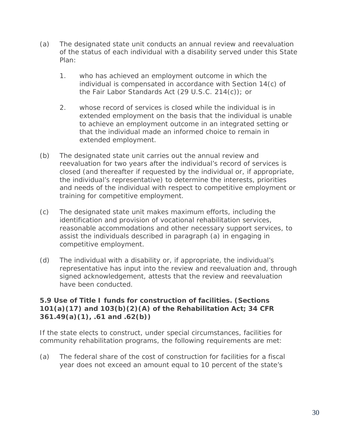- (a) The designated state unit conducts an annual review and reevaluation of the status of each individual with a disability served under this State Plan:
	- 1. who has achieved an employment outcome in which the individual is compensated in accordance with Section 14(c) of the Fair Labor Standards Act (29 U.S.C. 214(c)); or
	- 2. whose record of services is closed while the individual is in extended employment on the basis that the individual is unable to achieve an employment outcome in an integrated setting or that the individual made an informed choice to remain in extended employment.
- (b) The designated state unit carries out the annual review and reevaluation for two years after the individual's record of services is closed (and thereafter if requested by the individual or, if appropriate, the individual's representative) to determine the interests, priorities and needs of the individual with respect to competitive employment or training for competitive employment.
- (c) The designated state unit makes maximum efforts, including the identification and provision of vocational rehabilitation services, reasonable accommodations and other necessary support services, to assist the individuals described in paragraph (a) in engaging in competitive employment.
- (d) The individual with a disability or, if appropriate, the individual's representative has input into the review and reevaluation and, through signed acknowledgement, attests that the review and reevaluation have been conducted.

#### **5.9 Use of Title I funds for construction of facilities. (Sections 101(a)(17) and 103(b)(2)(A) of the Rehabilitation Act; 34 CFR 361.49(a)(1), .61 and .62(b))**

If the state elects to construct, under special circumstances, facilities for community rehabilitation programs, the following requirements are met:

(a) The federal share of the cost of construction for facilities for a fiscal year does not exceed an amount equal to 10 percent of the state's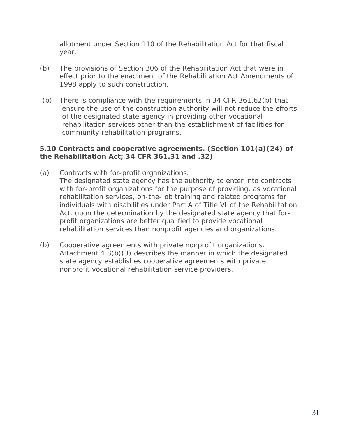allotment under Section 110 of the Rehabilitation Act for that fiscal year.

- (b) The provisions of Section 306 of the Rehabilitation Act that were in effect prior to the enactment of the Rehabilitation Act Amendments of 1998 apply to such construction.
- (b) There is compliance with the requirements in 34 CFR 361.62(b) that ensure the use of the construction authority will not reduce the efforts of the designated state agency in providing other vocational rehabilitation services other than the establishment of facilities for community rehabilitation programs.

#### **5.10 Contracts and cooperative agreements. (Section 101(a)(24) of the Rehabilitation Act; 34 CFR 361.31 and .32)**

- (a) Contracts with for-profit organizations. The designated state agency has the authority to enter into contracts with for-profit organizations for the purpose of providing, as vocational rehabilitation services, on-the-job training and related programs for individuals with disabilities under Part A of Title VI of the Rehabilitation Act, upon the determination by the designated state agency that forprofit organizations are better qualified to provide vocational rehabilitation services than nonprofit agencies and organizations.
- (b) Cooperative agreements with private nonprofit organizations. Attachment 4.8(b)(3) describes the manner in which the designated state agency establishes cooperative agreements with private nonprofit vocational rehabilitation service providers.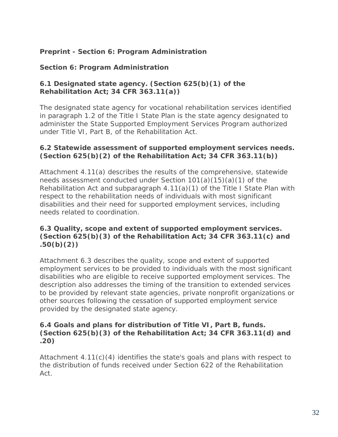# **Preprint - Section 6: Program Administration**

## **Section 6: Program Administration**

#### **6.1 Designated state agency. (Section 625(b)(1) of the Rehabilitation Act; 34 CFR 363.11(a))**

The designated state agency for vocational rehabilitation services identified in paragraph 1.2 of the Title I State Plan is the state agency designated to administer the State Supported Employment Services Program authorized under Title VI, Part B, of the Rehabilitation Act.

## **6.2 Statewide assessment of supported employment services needs. (Section 625(b)(2) of the Rehabilitation Act; 34 CFR 363.11(b))**

Attachment 4.11(a) describes the results of the comprehensive, statewide needs assessment conducted under Section 101(a)(15)(a)(1) of the Rehabilitation Act and subparagraph 4.11(a)(1) of the Title I State Plan with respect to the rehabilitation needs of individuals with most significant disabilities and their need for supported employment services, including needs related to coordination.

# **6.3 Quality, scope and extent of supported employment services. (Section 625(b)(3) of the Rehabilitation Act; 34 CFR 363.11(c) and .50(b)(2))**

Attachment 6.3 describes the quality, scope and extent of supported employment services to be provided to individuals with the most significant disabilities who are eligible to receive supported employment services. The description also addresses the timing of the transition to extended services to be provided by relevant state agencies, private nonprofit organizations or other sources following the cessation of supported employment service provided by the designated state agency.

#### **6.4 Goals and plans for distribution of Title VI, Part B, funds. (Section 625(b)(3) of the Rehabilitation Act; 34 CFR 363.11(d) and .20)**

Attachment  $4.11(c)(4)$  identifies the state's goals and plans with respect to the distribution of funds received under Section 622 of the Rehabilitation Act.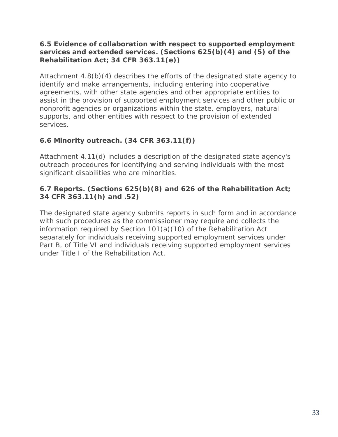## **6.5 Evidence of collaboration with respect to supported employment services and extended services. (Sections 625(b)(4) and (5) of the Rehabilitation Act; 34 CFR 363.11(e))**

Attachment 4.8(b)(4) describes the efforts of the designated state agency to identify and make arrangements, including entering into cooperative agreements, with other state agencies and other appropriate entities to assist in the provision of supported employment services and other public or nonprofit agencies or organizations within the state, employers, natural supports, and other entities with respect to the provision of extended services.

# **6.6 Minority outreach. (34 CFR 363.11(f))**

Attachment 4.11(d) includes a description of the designated state agency's outreach procedures for identifying and serving individuals with the most significant disabilities who are minorities.

# **6.7 Reports. (Sections 625(b)(8) and 626 of the Rehabilitation Act; 34 CFR 363.11(h) and .52)**

The designated state agency submits reports in such form and in accordance with such procedures as the commissioner may require and collects the information required by Section 101(a)(10) of the Rehabilitation Act separately for individuals receiving supported employment services under Part B, of Title VI and individuals receiving supported employment services under Title I of the Rehabilitation Act.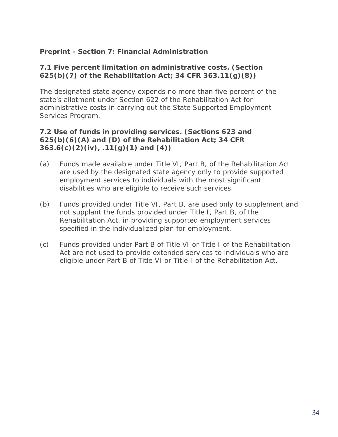# **Preprint - Section 7: Financial Administration**

## **7.1 Five percent limitation on administrative costs. (Section 625(b)(7) of the Rehabilitation Act; 34 CFR 363.11(g)(8))**

The designated state agency expends no more than five percent of the state's allotment under Section 622 of the Rehabilitation Act for administrative costs in carrying out the State Supported Employment Services Program.

#### **7.2 Use of funds in providing services. (Sections 623 and 625(b)(6)(A) and (D) of the Rehabilitation Act; 34 CFR 363.6(c)(2)(iv), .11(g)(1) and (4))**

- (a) Funds made available under Title VI, Part B, of the Rehabilitation Act are used by the designated state agency only to provide supported employment services to individuals with the most significant disabilities who are eligible to receive such services.
- (b) Funds provided under Title VI, Part B, are used only to supplement and not supplant the funds provided under Title I, Part B, of the Rehabilitation Act, in providing supported employment services specified in the individualized plan for employment.
- (c) Funds provided under Part B of Title VI or Title I of the Rehabilitation Act are not used to provide extended services to individuals who are eligible under Part B of Title VI or Title I of the Rehabilitation Act.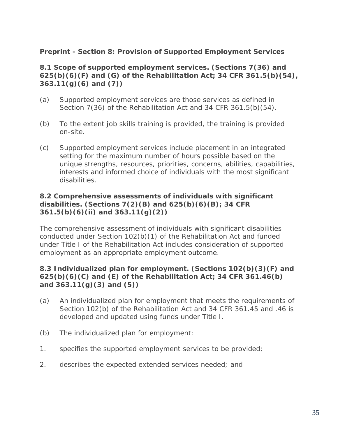## **Preprint - Section 8: Provision of Supported Employment Services**

#### **8.1 Scope of supported employment services. (Sections 7(36) and 625(b)(6)(F) and (G) of the Rehabilitation Act; 34 CFR 361.5(b)(54), 363.11(g)(6) and (7))**

- (a) Supported employment services are those services as defined in Section 7(36) of the Rehabilitation Act and 34 CFR 361.5(b)(54).
- (b) To the extent job skills training is provided, the training is provided on-site.
- (c) Supported employment services include placement in an integrated setting for the maximum number of hours possible based on the unique strengths, resources, priorities, concerns, abilities, capabilities, interests and informed choice of individuals with the most significant disabilities.

#### **8.2 Comprehensive assessments of individuals with significant disabilities. (Sections 7(2)(B) and 625(b)(6)(B); 34 CFR 361.5(b)(6)(ii) and 363.11(g)(2))**

The comprehensive assessment of individuals with significant disabilities conducted under Section 102(b)(1) of the Rehabilitation Act and funded under Title I of the Rehabilitation Act includes consideration of supported employment as an appropriate employment outcome.

# **8.3 Individualized plan for employment. (Sections 102(b)(3)(F) and 625(b)(6)(C) and (E) of the Rehabilitation Act; 34 CFR 361.46(b) and 363.11(g)(3) and (5))**

- (a) An individualized plan for employment that meets the requirements of Section 102(b) of the Rehabilitation Act and 34 CFR 361.45 and .46 is developed and updated using funds under Title I.
- (b) The individualized plan for employment:
- 1. specifies the supported employment services to be provided;
- 2. describes the expected extended services needed; and